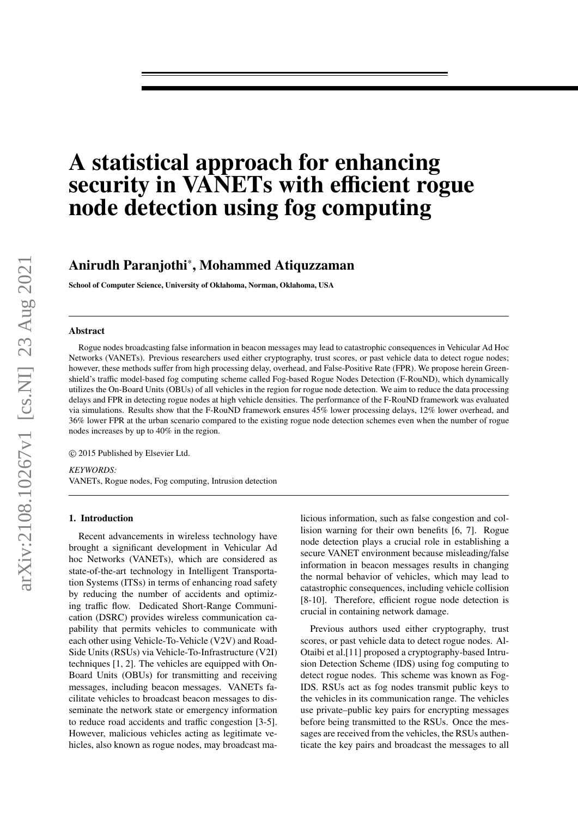# A statistical approach for enhancing security in VANETs with efficient rogue node detection using fog computing

# Anirudh Paranjothi<sup>∗</sup> , Mohammed Atiquzzaman

School of Computer Science, University of Oklahoma, Norman, Oklahoma, USA

#### **Abstract**

Rogue nodes broadcasting false information in beacon messages may lead to catastrophic consequences in Vehicular Ad Hoc Networks (VANETs). Previous researchers used either cryptography, trust scores, or past vehicle data to detect rogue nodes; however, these methods suffer from high processing delay, overhead, and False-Positive Rate (FPR). We propose herein Greenshield's traffic model-based fog computing scheme called Fog-based Rogue Nodes Detection (F-RouND), which dynamically utilizes the On-Board Units (OBUs) of all vehicles in the region for rogue node detection. We aim to reduce the data processing delays and FPR in detecting rogue nodes at high vehicle densities. The performance of the F-RouND framework was evaluated via simulations. Results show that the F-RouND framework ensures 45% lower processing delays, 12% lower overhead, and 36% lower FPR at the urban scenario compared to the existing rogue node detection schemes even when the number of rogue nodes increases by up to 40% in the region.

© 2015 Published by Elsevier Ltd.

*KEYWORDS:* VANETs, Rogue nodes, Fog computing, Intrusion detection

### 1. Introduction

Recent advancements in wireless technology have brought a significant development in Vehicular Ad hoc Networks (VANETs), which are considered as state-of-the-art technology in Intelligent Transportation Systems (ITSs) in terms of enhancing road safety by reducing the number of accidents and optimizing traffic flow. Dedicated Short-Range Communication (DSRC) provides wireless communication capability that permits vehicles to communicate with each other using Vehicle-To-Vehicle (V2V) and Road-Side Units (RSUs) via Vehicle-To-Infrastructure (V2I) techniques [1, 2]. The vehicles are equipped with On-Board Units (OBUs) for transmitting and receiving messages, including beacon messages. VANETs facilitate vehicles to broadcast beacon messages to disseminate the network state or emergency information to reduce road accidents and traffic congestion [3-5]. However, malicious vehicles acting as legitimate vehicles, also known as rogue nodes, may broadcast malicious information, such as false congestion and collision warning for their own benefits [6, 7]. Rogue node detection plays a crucial role in establishing a secure VANET environment because misleading/false information in beacon messages results in changing the normal behavior of vehicles, which may lead to catastrophic consequences, including vehicle collision [8-10]. Therefore, efficient rogue node detection is crucial in containing network damage.

Previous authors used either cryptography, trust scores, or past vehicle data to detect rogue nodes. Al-Otaibi et al.[11] proposed a cryptography-based Intrusion Detection Scheme (IDS) using fog computing to detect rogue nodes. This scheme was known as Fog-IDS. RSUs act as fog nodes transmit public keys to the vehicles in its communication range. The vehicles use private–public key pairs for encrypting messages before being transmitted to the RSUs. Once the messages are received from the vehicles, the RSUs authenticate the key pairs and broadcast the messages to all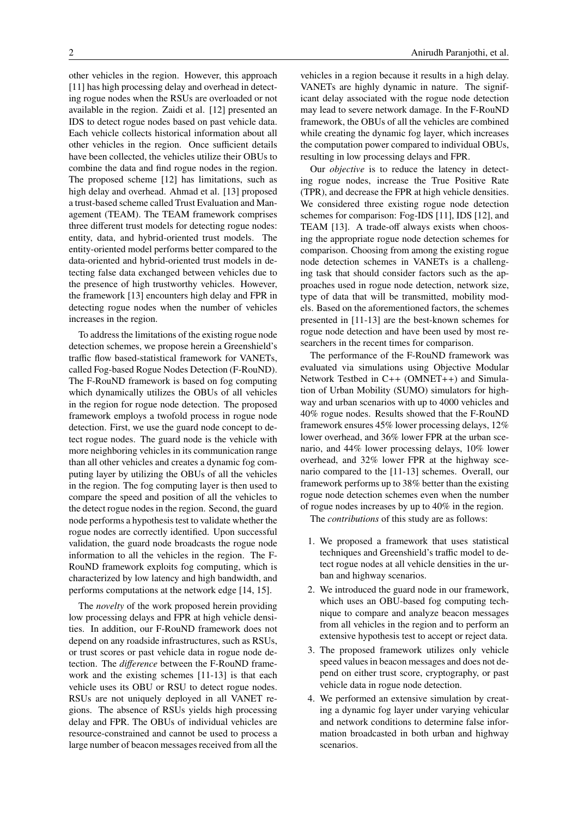other vehicles in the region. However, this approach [11] has high processing delay and overhead in detecting rogue nodes when the RSUs are overloaded or not available in the region. Zaidi et al. [12] presented an IDS to detect rogue nodes based on past vehicle data. Each vehicle collects historical information about all other vehicles in the region. Once sufficient details have been collected, the vehicles utilize their OBUs to combine the data and find rogue nodes in the region. The proposed scheme [12] has limitations, such as high delay and overhead. Ahmad et al. [13] proposed a trust-based scheme called Trust Evaluation and Management (TEAM). The TEAM framework comprises three different trust models for detecting rogue nodes: entity, data, and hybrid-oriented trust models. The entity-oriented model performs better compared to the data-oriented and hybrid-oriented trust models in detecting false data exchanged between vehicles due to the presence of high trustworthy vehicles. However, the framework [13] encounters high delay and FPR in detecting rogue nodes when the number of vehicles increases in the region.

To address the limitations of the existing rogue node detection schemes, we propose herein a Greenshield's traffic flow based-statistical framework for VANETs, called Fog-based Rogue Nodes Detection (F-RouND). The F-RouND framework is based on fog computing which dynamically utilizes the OBUs of all vehicles in the region for rogue node detection. The proposed framework employs a twofold process in rogue node detection. First, we use the guard node concept to detect rogue nodes. The guard node is the vehicle with more neighboring vehicles in its communication range than all other vehicles and creates a dynamic fog computing layer by utilizing the OBUs of all the vehicles in the region. The fog computing layer is then used to compare the speed and position of all the vehicles to the detect rogue nodes in the region. Second, the guard node performs a hypothesis test to validate whether the rogue nodes are correctly identified. Upon successful validation, the guard node broadcasts the rogue node information to all the vehicles in the region. The F-RouND framework exploits fog computing, which is characterized by low latency and high bandwidth, and performs computations at the network edge [14, 15].

The *novelty* of the work proposed herein providing low processing delays and FPR at high vehicle densities. In addition, our F-RouND framework does not depend on any roadside infrastructures, such as RSUs, or trust scores or past vehicle data in rogue node detection. The *di*ff*erence* between the F-RouND framework and the existing schemes [11-13] is that each vehicle uses its OBU or RSU to detect rogue nodes. RSUs are not uniquely deployed in all VANET regions. The absence of RSUs yields high processing delay and FPR. The OBUs of individual vehicles are resource-constrained and cannot be used to process a large number of beacon messages received from all the

vehicles in a region because it results in a high delay. VANETs are highly dynamic in nature. The significant delay associated with the rogue node detection may lead to severe network damage. In the F-RouND framework, the OBUs of all the vehicles are combined while creating the dynamic fog layer, which increases the computation power compared to individual OBUs, resulting in low processing delays and FPR.

Our *objective* is to reduce the latency in detecting rogue nodes, increase the True Positive Rate (TPR), and decrease the FPR at high vehicle densities. We considered three existing rogue node detection schemes for comparison: Fog-IDS [11], IDS [12], and TEAM [13]. A trade-off always exists when choosing the appropriate rogue node detection schemes for comparison. Choosing from among the existing rogue node detection schemes in VANETs is a challenging task that should consider factors such as the approaches used in rogue node detection, network size, type of data that will be transmitted, mobility models. Based on the aforementioned factors, the schemes presented in [11-13] are the best-known schemes for rogue node detection and have been used by most researchers in the recent times for comparison.

The performance of the F-RouND framework was evaluated via simulations using Objective Modular Network Testbed in C++ (OMNET++) and Simulation of Urban Mobility (SUMO) simulators for highway and urban scenarios with up to 4000 vehicles and 40% rogue nodes. Results showed that the F-RouND framework ensures 45% lower processing delays, 12% lower overhead, and 36% lower FPR at the urban scenario, and 44% lower processing delays, 10% lower overhead, and 32% lower FPR at the highway scenario compared to the [11-13] schemes. Overall, our framework performs up to 38% better than the existing rogue node detection schemes even when the number of rogue nodes increases by up to 40% in the region.

The *contributions* of this study are as follows:

- 1. We proposed a framework that uses statistical techniques and Greenshield's traffic model to detect rogue nodes at all vehicle densities in the urban and highway scenarios.
- 2. We introduced the guard node in our framework, which uses an OBU-based fog computing technique to compare and analyze beacon messages from all vehicles in the region and to perform an extensive hypothesis test to accept or reject data.
- 3. The proposed framework utilizes only vehicle speed values in beacon messages and does not depend on either trust score, cryptography, or past vehicle data in rogue node detection.
- 4. We performed an extensive simulation by creating a dynamic fog layer under varying vehicular and network conditions to determine false information broadcasted in both urban and highway scenarios.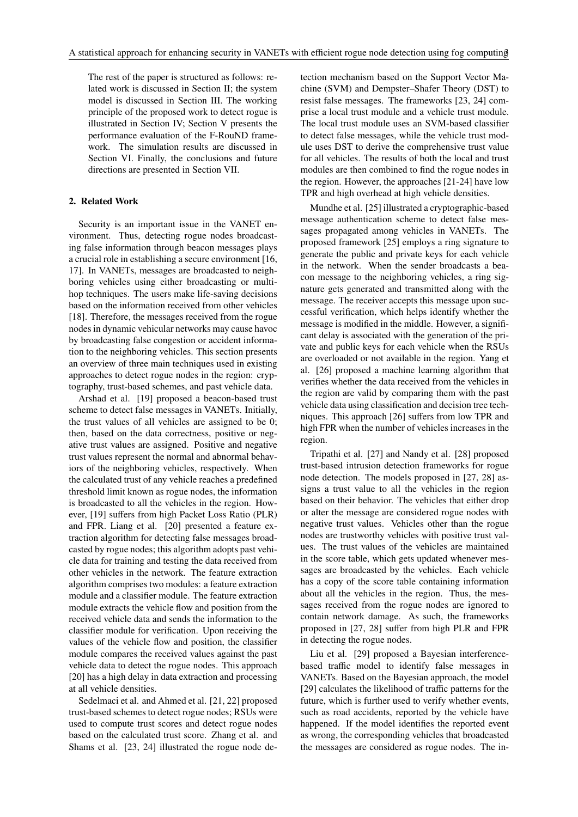The rest of the paper is structured as follows: related work is discussed in Section II; the system model is discussed in Section III. The working principle of the proposed work to detect rogue is illustrated in Section IV; Section V presents the performance evaluation of the F-RouND framework. The simulation results are discussed in Section VI. Finally, the conclusions and future directions are presented in Section VII.

# 2. Related Work

Security is an important issue in the VANET environment. Thus, detecting rogue nodes broadcasting false information through beacon messages plays a crucial role in establishing a secure environment [16, 17]. In VANETs, messages are broadcasted to neighboring vehicles using either broadcasting or multihop techniques. The users make life-saving decisions based on the information received from other vehicles [18]. Therefore, the messages received from the rogue nodes in dynamic vehicular networks may cause havoc by broadcasting false congestion or accident information to the neighboring vehicles. This section presents an overview of three main techniques used in existing approaches to detect rogue nodes in the region: cryptography, trust-based schemes, and past vehicle data.

Arshad et al. [19] proposed a beacon-based trust scheme to detect false messages in VANETs. Initially, the trust values of all vehicles are assigned to be 0; then, based on the data correctness, positive or negative trust values are assigned. Positive and negative trust values represent the normal and abnormal behaviors of the neighboring vehicles, respectively. When the calculated trust of any vehicle reaches a predefined threshold limit known as rogue nodes, the information is broadcasted to all the vehicles in the region. However, [19] suffers from high Packet Loss Ratio (PLR) and FPR. Liang et al. [20] presented a feature extraction algorithm for detecting false messages broadcasted by rogue nodes; this algorithm adopts past vehicle data for training and testing the data received from other vehicles in the network. The feature extraction algorithm comprises two modules: a feature extraction module and a classifier module. The feature extraction module extracts the vehicle flow and position from the received vehicle data and sends the information to the classifier module for verification. Upon receiving the values of the vehicle flow and position, the classifier module compares the received values against the past vehicle data to detect the rogue nodes. This approach [20] has a high delay in data extraction and processing at all vehicle densities.

Sedelmaci et al. and Ahmed et al. [21, 22] proposed trust-based schemes to detect rogue nodes; RSUs were used to compute trust scores and detect rogue nodes based on the calculated trust score. Zhang et al. and Shams et al. [23, 24] illustrated the rogue node detection mechanism based on the Support Vector Machine (SVM) and Dempster–Shafer Theory (DST) to resist false messages. The frameworks [23, 24] comprise a local trust module and a vehicle trust module. The local trust module uses an SVM-based classifier to detect false messages, while the vehicle trust module uses DST to derive the comprehensive trust value for all vehicles. The results of both the local and trust modules are then combined to find the rogue nodes in the region. However, the approaches [21-24] have low TPR and high overhead at high vehicle densities.

Mundhe et al. [25] illustrated a cryptographic-based message authentication scheme to detect false messages propagated among vehicles in VANETs. The proposed framework [25] employs a ring signature to generate the public and private keys for each vehicle in the network. When the sender broadcasts a beacon message to the neighboring vehicles, a ring signature gets generated and transmitted along with the message. The receiver accepts this message upon successful verification, which helps identify whether the message is modified in the middle. However, a significant delay is associated with the generation of the private and public keys for each vehicle when the RSUs are overloaded or not available in the region. Yang et al. [26] proposed a machine learning algorithm that verifies whether the data received from the vehicles in the region are valid by comparing them with the past vehicle data using classification and decision tree techniques. This approach [26] suffers from low TPR and high FPR when the number of vehicles increases in the region.

Tripathi et al. [27] and Nandy et al. [28] proposed trust-based intrusion detection frameworks for rogue node detection. The models proposed in [27, 28] assigns a trust value to all the vehicles in the region based on their behavior. The vehicles that either drop or alter the message are considered rogue nodes with negative trust values. Vehicles other than the rogue nodes are trustworthy vehicles with positive trust values. The trust values of the vehicles are maintained in the score table, which gets updated whenever messages are broadcasted by the vehicles. Each vehicle has a copy of the score table containing information about all the vehicles in the region. Thus, the messages received from the rogue nodes are ignored to contain network damage. As such, the frameworks proposed in [27, 28] suffer from high PLR and FPR in detecting the rogue nodes.

Liu et al. [29] proposed a Bayesian interferencebased traffic model to identify false messages in VANETs. Based on the Bayesian approach, the model [29] calculates the likelihood of traffic patterns for the future, which is further used to verify whether events, such as road accidents, reported by the vehicle have happened. If the model identifies the reported event as wrong, the corresponding vehicles that broadcasted the messages are considered as rogue nodes. The in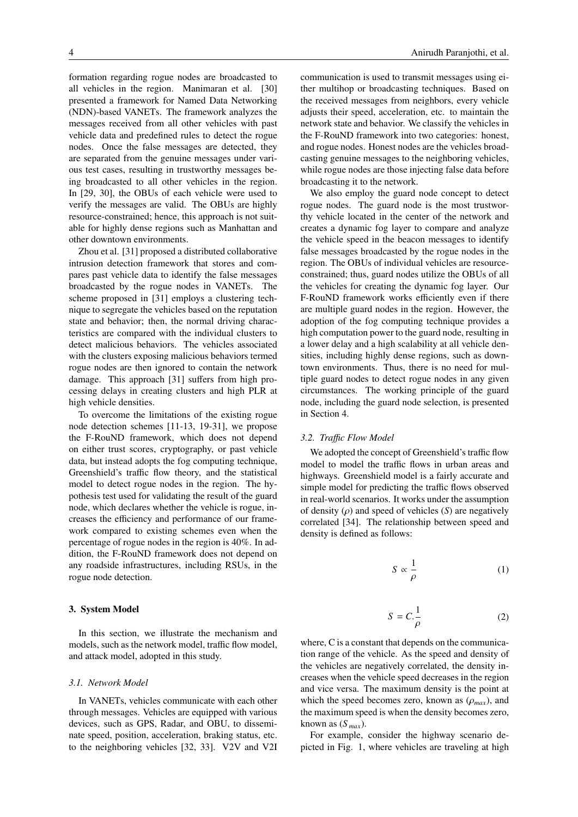formation regarding rogue nodes are broadcasted to all vehicles in the region. Manimaran et al. [30] presented a framework for Named Data Networking (NDN)-based VANETs. The framework analyzes the messages received from all other vehicles with past vehicle data and predefined rules to detect the rogue nodes. Once the false messages are detected, they are separated from the genuine messages under various test cases, resulting in trustworthy messages being broadcasted to all other vehicles in the region. In [29, 30], the OBUs of each vehicle were used to verify the messages are valid. The OBUs are highly resource-constrained; hence, this approach is not suitable for highly dense regions such as Manhattan and other downtown environments.

Zhou et al. [31] proposed a distributed collaborative intrusion detection framework that stores and compares past vehicle data to identify the false messages broadcasted by the rogue nodes in VANETs. The scheme proposed in [31] employs a clustering technique to segregate the vehicles based on the reputation state and behavior; then, the normal driving characteristics are compared with the individual clusters to detect malicious behaviors. The vehicles associated with the clusters exposing malicious behaviors termed rogue nodes are then ignored to contain the network damage. This approach [31] suffers from high processing delays in creating clusters and high PLR at high vehicle densities.

To overcome the limitations of the existing rogue node detection schemes [11-13, 19-31], we propose the F-RouND framework, which does not depend on either trust scores, cryptography, or past vehicle data, but instead adopts the fog computing technique, Greenshield's traffic flow theory, and the statistical model to detect rogue nodes in the region. The hypothesis test used for validating the result of the guard node, which declares whether the vehicle is rogue, increases the efficiency and performance of our framework compared to existing schemes even when the percentage of rogue nodes in the region is 40%. In addition, the F-RouND framework does not depend on any roadside infrastructures, including RSUs, in the rogue node detection.

### 3. System Model

In this section, we illustrate the mechanism and models, such as the network model, traffic flow model, and attack model, adopted in this study.

### *3.1. Network Model*

In VANETs, vehicles communicate with each other through messages. Vehicles are equipped with various devices, such as GPS, Radar, and OBU, to disseminate speed, position, acceleration, braking status, etc. to the neighboring vehicles [32, 33]. V2V and V2I

communication is used to transmit messages using either multihop or broadcasting techniques. Based on the received messages from neighbors, every vehicle adjusts their speed, acceleration, etc. to maintain the network state and behavior. We classify the vehicles in the F-RouND framework into two categories: honest, and rogue nodes. Honest nodes are the vehicles broadcasting genuine messages to the neighboring vehicles, while rogue nodes are those injecting false data before broadcasting it to the network.

We also employ the guard node concept to detect rogue nodes. The guard node is the most trustworthy vehicle located in the center of the network and creates a dynamic fog layer to compare and analyze the vehicle speed in the beacon messages to identify false messages broadcasted by the rogue nodes in the region. The OBUs of individual vehicles are resourceconstrained; thus, guard nodes utilize the OBUs of all the vehicles for creating the dynamic fog layer. Our F-RouND framework works efficiently even if there are multiple guard nodes in the region. However, the adoption of the fog computing technique provides a high computation power to the guard node, resulting in a lower delay and a high scalability at all vehicle densities, including highly dense regions, such as downtown environments. Thus, there is no need for multiple guard nodes to detect rogue nodes in any given circumstances. The working principle of the guard node, including the guard node selection, is presented in Section 4.

#### *3.2. Tra*ffi*c Flow Model*

We adopted the concept of Greenshield's traffic flow model to model the traffic flows in urban areas and highways. Greenshield model is a fairly accurate and simple model for predicting the traffic flows observed in real-world scenarios. It works under the assumption of density  $(\rho)$  and speed of vehicles  $(S)$  are negatively correlated [34]. The relationship between speed and density is defined as follows:

$$
S \propto \frac{1}{\rho} \tag{1}
$$

$$
S = C \cdot \frac{1}{\rho} \tag{2}
$$

where, C is a constant that depends on the communication range of the vehicle. As the speed and density of the vehicles are negatively correlated, the density increases when the vehicle speed decreases in the region and vice versa. The maximum density is the point at which the speed becomes zero, known as  $(\rho_{max})$ , and the maximum speed is when the density becomes zero, known as  $(S_{max})$ .

For example, consider the highway scenario depicted in Fig. 1, where vehicles are traveling at high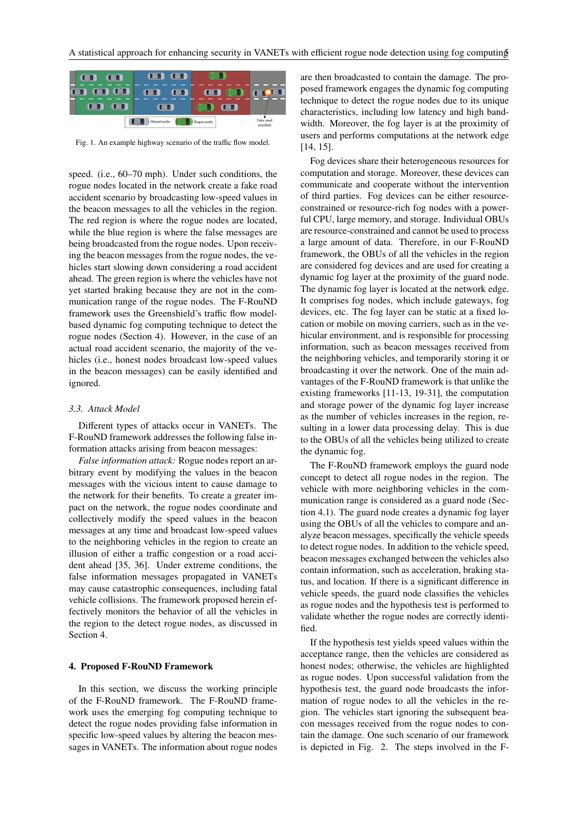

Fig. 1. An example highway scenario of the traffic flow model.

speed. (i.e., 60–70 mph). Under such conditions, the rogue nodes located in the network create a fake road accident scenario by broadcasting low-speed values in the beacon messages to all the vehicles in the region. The red region is where the rogue nodes are located, while the blue region is where the false messages are being broadcasted from the rogue nodes. Upon receiving the beacon messages from the rogue nodes, the vehicles start slowing down considering a road accident ahead. The green region is where the vehicles have not yet started braking because they are not in the communication range of the rogue nodes. The F-RouND framework uses the Greenshield's traffic flow modelbased dynamic fog computing technique to detect the rogue nodes (Section 4). However, in the case of an actual road accident scenario, the majority of the vehicles (i.e., honest nodes broadcast low-speed values in the beacon messages) can be easily identified and ignored.

#### *3.3. Attack Model*

Different types of attacks occur in VANETs. The F-RouND framework addresses the following false information attacks arising from beacon messages:

*False information attack:* Rogue nodes report an arbitrary event by modifying the values in the beacon messages with the vicious intent to cause damage to the network for their benefits. To create a greater impact on the network, the rogue nodes coordinate and collectively modify the speed values in the beacon messages at any time and broadcast low-speed values to the neighboring vehicles in the region to create an illusion of either a traffic congestion or a road accident ahead [35, 36]. Under extreme conditions, the false information messages propagated in VANETs may cause catastrophic consequences, including fatal vehicle collisions. The framework proposed herein effectively monitors the behavior of all the vehicles in the region to the detect rogue nodes, as discussed in Section 4.

#### 4. Proposed F-RouND Framework

In this section, we discuss the working principle of the F-RouND framework. The F-RouND framework uses the emerging fog computing technique to detect the rogue nodes providing false information in specific low-speed values by altering the beacon messages in VANETs. The information about rogue nodes

are then broadcasted to contain the damage. The proposed framework engages the dynamic fog computing technique to detect the rogue nodes due to its unique characteristics, including low latency and high bandwidth. Moreover, the fog layer is at the proximity of users and performs computations at the network edge [14, 15].

Fog devices share their heterogeneous resources for computation and storage. Moreover, these devices can communicate and cooperate without the intervention of third parties. Fog devices can be either resourceconstrained or resource-rich fog nodes with a powerful CPU, large memory, and storage. Individual OBUs are resource-constrained and cannot be used to process a large amount of data. Therefore, in our F-RouND framework, the OBUs of all the vehicles in the region are considered fog devices and are used for creating a dynamic fog layer at the proximity of the guard node. The dynamic fog layer is located at the network edge. It comprises fog nodes, which include gateways, fog devices, etc. The fog layer can be static at a fixed location or mobile on moving carriers, such as in the vehicular environment, and is responsible for processing information, such as beacon messages received from the neighboring vehicles, and temporarily storing it or broadcasting it over the network. One of the main advantages of the F-RouND framework is that unlike the existing frameworks [11-13, 19-31], the computation and storage power of the dynamic fog layer increase as the number of vehicles increases in the region, resulting in a lower data processing delay. This is due to the OBUs of all the vehicles being utilized to create the dynamic fog.

The F-RouND framework employs the guard node concept to detect all rogue nodes in the region. The vehicle with more neighboring vehicles in the communication range is considered as a guard node (Section 4.1). The guard node creates a dynamic fog layer using the OBUs of all the vehicles to compare and analyze beacon messages, specifically the vehicle speeds to detect rogue nodes. In addition to the vehicle speed, beacon messages exchanged between the vehicles also contain information, such as acceleration, braking status, and location. If there is a significant difference in vehicle speeds, the guard node classifies the vehicles as rogue nodes and the hypothesis test is performed to validate whether the rogue nodes are correctly identified.

If the hypothesis test yields speed values within the acceptance range, then the vehicles are considered as honest nodes; otherwise, the vehicles are highlighted as rogue nodes. Upon successful validation from the hypothesis test, the guard node broadcasts the information of rogue nodes to all the vehicles in the region. The vehicles start ignoring the subsequent beacon messages received from the rogue nodes to contain the damage. One such scenario of our framework is depicted in Fig. 2. The steps involved in the F-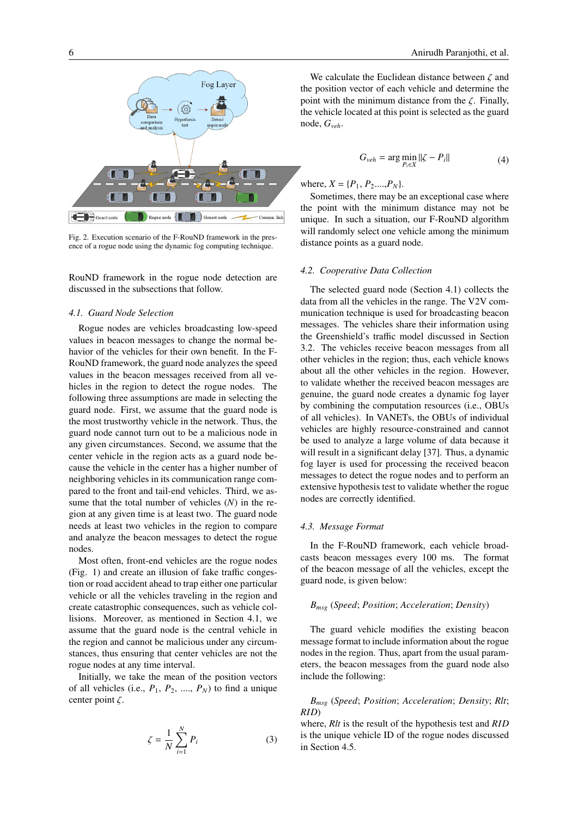

Fig. 2. Execution scenario of the F-RouND framework in the presence of a rogue node using the dynamic fog computing technique.

RouND framework in the rogue node detection are discussed in the subsections that follow.

# *4.1. Guard Node Selection*

Rogue nodes are vehicles broadcasting low-speed values in beacon messages to change the normal behavior of the vehicles for their own benefit. In the F-RouND framework, the guard node analyzes the speed values in the beacon messages received from all vehicles in the region to detect the rogue nodes. The following three assumptions are made in selecting the guard node. First, we assume that the guard node is the most trustworthy vehicle in the network. Thus, the guard node cannot turn out to be a malicious node in any given circumstances. Second, we assume that the center vehicle in the region acts as a guard node because the vehicle in the center has a higher number of neighboring vehicles in its communication range compared to the front and tail-end vehicles. Third, we assume that the total number of vehicles (*N*) in the region at any given time is at least two. The guard node needs at least two vehicles in the region to compare and analyze the beacon messages to detect the rogue nodes.

Most often, front-end vehicles are the rogue nodes (Fig. 1) and create an illusion of fake traffic congestion or road accident ahead to trap either one particular vehicle or all the vehicles traveling in the region and create catastrophic consequences, such as vehicle collisions. Moreover, as mentioned in Section 4.1, we assume that the guard node is the central vehicle in the region and cannot be malicious under any circumstances, thus ensuring that center vehicles are not the rogue nodes at any time interval.

Initially, we take the mean of the position vectors of all vehicles (i.e.,  $P_1$ ,  $P_2$ , ...,  $P_N$ ) to find a unique center point ζ.

$$
\zeta = \frac{1}{N} \sum_{i=1}^{N} P_i \tag{3}
$$

We calculate the Euclidean distance between  $\zeta$  and the position vector of each vehicle and determine the point with the minimum distance from the  $\zeta$ . Finally, the vehicle located at this point is selected as the guard node, *Gveh*.

$$
G_{veh} = \arg\min_{P_i \in X} \|\zeta - P_i\| \tag{4}
$$

where,  $X = \{P_1, P_2, \ldots, P_N\}.$ 

Sometimes, there may be an exceptional case where the point with the minimum distance may not be unique. In such a situation, our F-RouND algorithm will randomly select one vehicle among the minimum distance points as a guard node.

### *4.2. Cooperative Data Collection*

The selected guard node (Section 4.1) collects the data from all the vehicles in the range. The V2V communication technique is used for broadcasting beacon messages. The vehicles share their information using the Greenshield's traffic model discussed in Section 3.2. The vehicles receive beacon messages from all other vehicles in the region; thus, each vehicle knows about all the other vehicles in the region. However, to validate whether the received beacon messages are genuine, the guard node creates a dynamic fog layer by combining the computation resources (i.e., OBUs of all vehicles). In VANETs, the OBUs of individual vehicles are highly resource-constrained and cannot be used to analyze a large volume of data because it will result in a significant delay [37]. Thus, a dynamic fog layer is used for processing the received beacon messages to detect the rogue nodes and to perform an extensive hypothesis test to validate whether the rogue nodes are correctly identified.

### *4.3. Message Format*

In the F-RouND framework, each vehicle broadcasts beacon messages every 100 ms. The format of the beacon message of all the vehicles, except the guard node, is given below:

# *Bmsg* (*Speed*; *Position*; *Acceleration*; *Density*)

The guard vehicle modifies the existing beacon message format to include information about the rogue nodes in the region. Thus, apart from the usual parameters, the beacon messages from the guard node also include the following:

# *Bmsg* (*Speed*; *Position*; *Acceleration*; *Density*; *Rlt*; *RID*)

where, *Rlt* is the result of the hypothesis test and *RID* is the unique vehicle ID of the rogue nodes discussed in Section 4.5.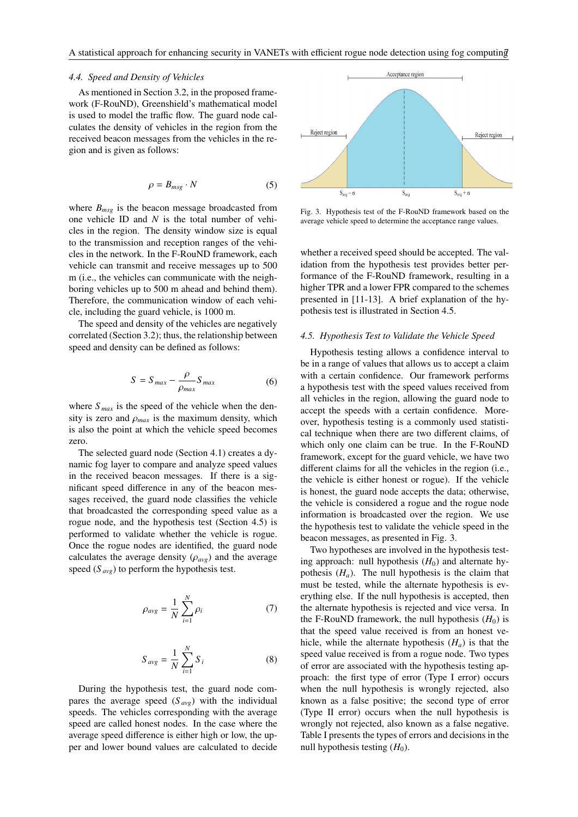### *4.4. Speed and Density of Vehicles*

As mentioned in Section 3.2, in the proposed framework (F-RouND), Greenshield's mathematical model is used to model the traffic flow. The guard node calculates the density of vehicles in the region from the received beacon messages from the vehicles in the region and is given as follows:

$$
\rho = B_{msg} \cdot N \tag{5}
$$

where  $B_{msg}$  is the beacon message broadcasted from one vehicle ID and *N* is the total number of vehicles in the region. The density window size is equal to the transmission and reception ranges of the vehicles in the network. In the F-RouND framework, each vehicle can transmit and receive messages up to 500 m (i.e., the vehicles can communicate with the neighboring vehicles up to 500 m ahead and behind them). Therefore, the communication window of each vehicle, including the guard vehicle, is 1000 m.

The speed and density of the vehicles are negatively correlated (Section 3.2); thus, the relationship between speed and density can be defined as follows:

$$
S = S_{max} - \frac{\rho}{\rho_{max}} S_{max}
$$
 (6)

where  $S_{max}$  is the speed of the vehicle when the density is zero and  $\rho_{max}$  is the maximum density, which is also the point at which the vehicle speed becomes zero.

The selected guard node (Section 4.1) creates a dynamic fog layer to compare and analyze speed values in the received beacon messages. If there is a significant speed difference in any of the beacon messages received, the guard node classifies the vehicle that broadcasted the corresponding speed value as a rogue node, and the hypothesis test (Section 4.5) is performed to validate whether the vehicle is rogue. Once the rogue nodes are identified, the guard node calculates the average density  $(\rho_{\alpha vg})$  and the average speed  $(S_{\text{ave}})$  to perform the hypothesis test.

$$
\rho_{avg} = \frac{1}{N} \sum_{i=1}^{N} \rho_i \tag{7}
$$

$$
S_{avg} = \frac{1}{N} \sum_{i=1}^{N} S_i
$$
 (8)

During the hypothesis test, the guard node compares the average speed (*S avg*) with the individual speeds. The vehicles corresponding with the average speed are called honest nodes. In the case where the average speed difference is either high or low, the upper and lower bound values are calculated to decide



Fig. 3. Hypothesis test of the F-RouND framework based on the average vehicle speed to determine the acceptance range values.

whether a received speed should be accepted. The validation from the hypothesis test provides better performance of the F-RouND framework, resulting in a higher TPR and a lower FPR compared to the schemes presented in [11-13]. A brief explanation of the hypothesis test is illustrated in Section 4.5.

# *4.5. Hypothesis Test to Validate the Vehicle Speed*

Hypothesis testing allows a confidence interval to be in a range of values that allows us to accept a claim with a certain confidence. Our framework performs a hypothesis test with the speed values received from all vehicles in the region, allowing the guard node to accept the speeds with a certain confidence. Moreover, hypothesis testing is a commonly used statistical technique when there are two different claims, of which only one claim can be true. In the F-RouND framework, except for the guard vehicle, we have two different claims for all the vehicles in the region (i.e., the vehicle is either honest or rogue). If the vehicle is honest, the guard node accepts the data; otherwise, the vehicle is considered a rogue and the rogue node information is broadcasted over the region. We use the hypothesis test to validate the vehicle speed in the beacon messages, as presented in Fig. 3.

Two hypotheses are involved in the hypothesis testing approach: null hypothesis  $(H_0)$  and alternate hypothesis  $(H_a)$ . The null hypothesis is the claim that must be tested, while the alternate hypothesis is everything else. If the null hypothesis is accepted, then the alternate hypothesis is rejected and vice versa. In the F-RouND framework, the null hypothesis  $(H_0)$  is that the speed value received is from an honest vehicle, while the alternate hypothesis  $(H_a)$  is that the speed value received is from a rogue node. Two types of error are associated with the hypothesis testing approach: the first type of error (Type I error) occurs when the null hypothesis is wrongly rejected, also known as a false positive; the second type of error (Type II error) occurs when the null hypothesis is wrongly not rejected, also known as a false negative. Table I presents the types of errors and decisions in the null hypothesis testing  $(H_0)$ .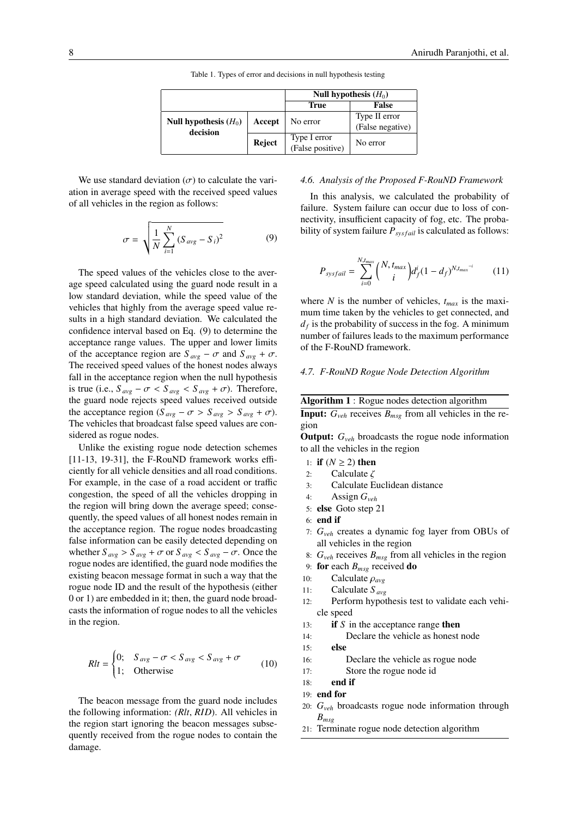|                                     |        | Null hypothesis $(H_0)$          |                                   |  |
|-------------------------------------|--------|----------------------------------|-----------------------------------|--|
|                                     |        | True                             | <b>False</b>                      |  |
| Null hypothesis $(H_0)$<br>decision | Accept | No error                         | Type II error<br>(False negative) |  |
|                                     | Reject | Type I error<br>(False positive) | No error                          |  |

Table 1. Types of error and decisions in null hypothesis testing

We use standard deviation  $(\sigma)$  to calculate the variation in average speed with the received speed values of all vehicles in the region as follows:

$$
\sigma = \sqrt{\frac{1}{N} \sum_{i=1}^{N} (S_{avg} - S_i)^2}
$$
 (9)

The speed values of the vehicles close to the average speed calculated using the guard node result in a low standard deviation, while the speed value of the vehicles that highly from the average speed value results in a high standard deviation. We calculated the confidence interval based on Eq. (9) to determine the acceptance range values. The upper and lower limits of the acceptance region are  $S_{avg} - \sigma$  and  $S_{avg} + \sigma$ . The received speed values of the honest nodes always fall in the acceptance region when the null hypothesis is true (i.e.,  $S_{avg} - \sigma < S_{avg} < S_{avg} + \sigma$ ). Therefore, the guard node rejects speed values received outside the acceptance region ( $S_{avg} - \sigma > S_{avg} > S_{avg} + \sigma$ ). The vehicles that broadcast false speed values are considered as rogue nodes.

Unlike the existing rogue node detection schemes [11-13, 19-31], the F-RouND framework works efficiently for all vehicle densities and all road conditions. For example, in the case of a road accident or traffic congestion, the speed of all the vehicles dropping in the region will bring down the average speed; consequently, the speed values of all honest nodes remain in the acceptance region. The rogue nodes broadcasting false information can be easily detected depending on whether  $S_{avg} > S_{avg} + \sigma$  or  $S_{avg} < S_{avg} - \sigma$ . Once the rogue nodes are identified, the guard node modifies the existing beacon message format in such a way that the rogue node ID and the result of the hypothesis (either 0 or 1) are embedded in it; then, the guard node broadcasts the information of rogue nodes to all the vehicles in the region.

$$
Rlt = \begin{cases} 0; & S_{avg} - \sigma < S_{avg} < S_{avg} + \sigma \\ 1; & \text{Otherwise} \end{cases} \tag{10}
$$

The beacon message from the guard node includes the following information: *(Rlt*, *RID*). All vehicles in the region start ignoring the beacon messages subsequently received from the rogue nodes to contain the damage.

# *4.6. Analysis of the Proposed F-RouND Framework*

In this analysis, we calculated the probability of failure. System failure can occur due to loss of connectivity, insufficient capacity of fog, etc. The probability of system failure  $P_{svsfail}$  is calculated as follows:

$$
P_{\text{sysfail}} = \sum_{i=0}^{N, t_{\text{max}}} {N, t_{\text{max}} \choose i} d_f^i (1 - d_f)^{N, t_{\text{max}}^{-i}}
$$
(11)

where *N* is the number of vehicles,  $t_{max}$  is the maximum time taken by the vehicles to get connected, and  $d_f$  is the probability of success in the fog. A minimum number of failures leads to the maximum performance of the F-RouND framework.

#### *4.7. F-RouND Rogue Node Detection Algorithm*

| <b>Algorithm 1:</b> Rogue nodes detection algorithm |  |                                                                         |  |  |  |  |  |
|-----------------------------------------------------|--|-------------------------------------------------------------------------|--|--|--|--|--|
|                                                     |  | <b>Input:</b> $G_{veh}$ receives $B_{mse}$ from all vehicles in the re- |  |  |  |  |  |
| gion                                                |  |                                                                         |  |  |  |  |  |

Output: *Gveh* broadcasts the rogue node information to all the vehicles in the region

- 1: if  $(N \geq 2)$  then
- 2: Calculate  $\zeta$ <br>3: Calculate F
- Calculate Euclidean distance
- 4: Assign *Gveh*
- 5: else Goto step 21
- $6<sub>1</sub>$  end if
- 7: *Gveh* creates a dynamic fog layer from OBUs of all vehicles in the region
- 8:  $G_{veh}$  receives  $B_{msg}$  from all vehicles in the region
- 9: for each *Bmsg* received do
- 
- 10: **Calculate**  $\rho_{avg}$ <br>11: **Calculate**  $S_{avg}$ 11: Calculate *S avg*
- 12: Perform hypothesis test to validate each vehicle speed
- 13: if *S* in the acceptance range then
- 14: Declare the vehicle as honest node
- 15: else
- 16: Declare the vehicle as rogue node
- 17: Store the rogue node id
- $18:$  end if
- 19: end for
- 20: *Gveh* broadcasts rogue node information through *Bmsg*
- 21: Terminate rogue node detection algorithm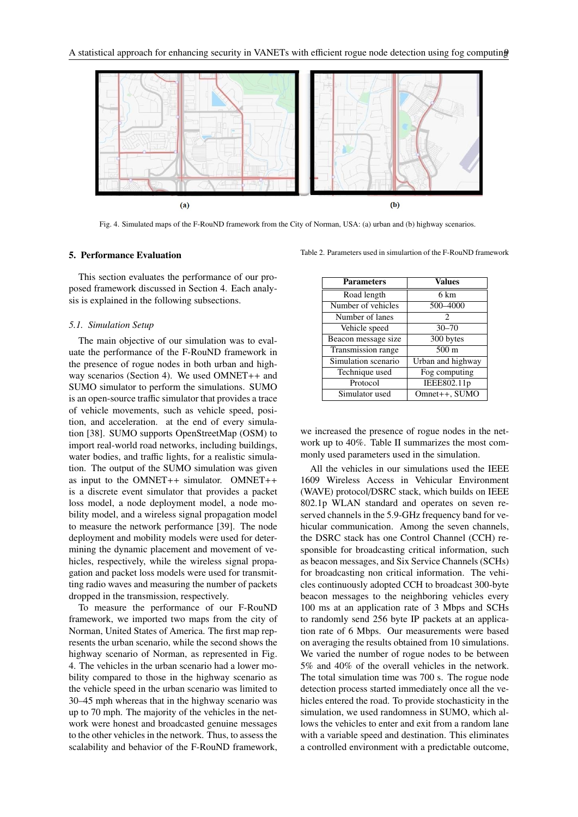

Fig. 4. Simulated maps of the F-RouND framework from the City of Norman, USA: (a) urban and (b) highway scenarios.

#### 5. Performance Evaluation

This section evaluates the performance of our proposed framework discussed in Section 4. Each analysis is explained in the following subsections.

# *5.1. Simulation Setup*

The main objective of our simulation was to evaluate the performance of the F-RouND framework in the presence of rogue nodes in both urban and highway scenarios (Section 4). We used OMNET++ and SUMO simulator to perform the simulations. SUMO is an open-source traffic simulator that provides a trace of vehicle movements, such as vehicle speed, position, and acceleration. at the end of every simulation [38]. SUMO supports OpenStreetMap (OSM) to import real-world road networks, including buildings, water bodies, and traffic lights, for a realistic simulation. The output of the SUMO simulation was given as input to the OMNET++ simulator. OMNET++ is a discrete event simulator that provides a packet loss model, a node deployment model, a node mobility model, and a wireless signal propagation model to measure the network performance [39]. The node deployment and mobility models were used for determining the dynamic placement and movement of vehicles, respectively, while the wireless signal propagation and packet loss models were used for transmitting radio waves and measuring the number of packets dropped in the transmission, respectively.

To measure the performance of our F-RouND framework, we imported two maps from the city of Norman, United States of America. The first map represents the urban scenario, while the second shows the highway scenario of Norman, as represented in Fig. 4. The vehicles in the urban scenario had a lower mobility compared to those in the highway scenario as the vehicle speed in the urban scenario was limited to 30–45 mph whereas that in the highway scenario was up to 70 mph. The majority of the vehicles in the network were honest and broadcasted genuine messages to the other vehicles in the network. Thus, to assess the scalability and behavior of the F-RouND framework,

Table 2. Parameters used in simulartion of the F-RouND framework

| <b>Parameters</b>   | <b>Values</b>     |  |  |  |  |
|---------------------|-------------------|--|--|--|--|
| Road length         | 6 km              |  |  |  |  |
| Number of vehicles  | 500-4000          |  |  |  |  |
| Number of lanes     | 2                 |  |  |  |  |
| Vehicle speed       | $30 - 70$         |  |  |  |  |
| Beacon message size | 300 bytes         |  |  |  |  |
| Transmission range  | $500 \text{ m}$   |  |  |  |  |
| Simulation scenario | Urban and highway |  |  |  |  |
| Technique used      | Fog computing     |  |  |  |  |
| Protocol            | IEEE802.11p       |  |  |  |  |
| Simulator used      | Omnet++, SUMO     |  |  |  |  |

we increased the presence of rogue nodes in the network up to 40%. Table II summarizes the most commonly used parameters used in the simulation.

All the vehicles in our simulations used the IEEE 1609 Wireless Access in Vehicular Environment (WAVE) protocol/DSRC stack, which builds on IEEE 802.1p WLAN standard and operates on seven reserved channels in the 5.9-GHz frequency band for vehicular communication. Among the seven channels, the DSRC stack has one Control Channel (CCH) responsible for broadcasting critical information, such as beacon messages, and Six Service Channels (SCHs) for broadcasting non critical information. The vehicles continuously adopted CCH to broadcast 300-byte beacon messages to the neighboring vehicles every 100 ms at an application rate of 3 Mbps and SCHs to randomly send 256 byte IP packets at an application rate of 6 Mbps. Our measurements were based on averaging the results obtained from 10 simulations. We varied the number of rogue nodes to be between 5% and 40% of the overall vehicles in the network. The total simulation time was 700 s. The rogue node detection process started immediately once all the vehicles entered the road. To provide stochasticity in the simulation, we used randomness in SUMO, which allows the vehicles to enter and exit from a random lane with a variable speed and destination. This eliminates a controlled environment with a predictable outcome,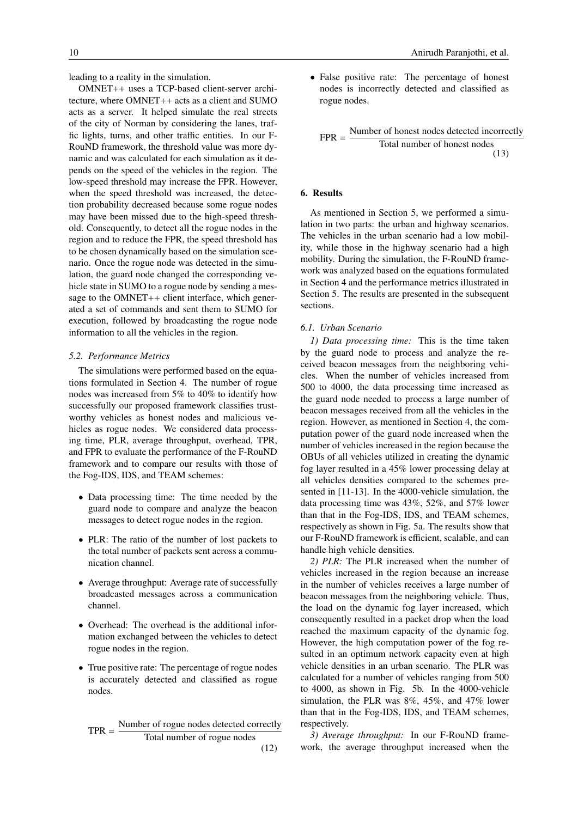leading to a reality in the simulation.

OMNET++ uses a TCP-based client-server architecture, where OMNET++ acts as a client and SUMO acts as a server. It helped simulate the real streets of the city of Norman by considering the lanes, traffic lights, turns, and other traffic entities. In our F-RouND framework, the threshold value was more dynamic and was calculated for each simulation as it depends on the speed of the vehicles in the region. The low-speed threshold may increase the FPR. However, when the speed threshold was increased, the detection probability decreased because some rogue nodes may have been missed due to the high-speed threshold. Consequently, to detect all the rogue nodes in the region and to reduce the FPR, the speed threshold has to be chosen dynamically based on the simulation scenario. Once the rogue node was detected in the simulation, the guard node changed the corresponding vehicle state in SUMO to a rogue node by sending a message to the OMNET++ client interface, which generated a set of commands and sent them to SUMO for execution, followed by broadcasting the rogue node information to all the vehicles in the region.

# *5.2. Performance Metrics*

The simulations were performed based on the equations formulated in Section 4. The number of rogue nodes was increased from 5% to 40% to identify how successfully our proposed framework classifies trustworthy vehicles as honest nodes and malicious vehicles as rogue nodes. We considered data processing time, PLR, average throughput, overhead, TPR, and FPR to evaluate the performance of the F-RouND framework and to compare our results with those of the Fog-IDS, IDS, and TEAM schemes:

- Data processing time: The time needed by the guard node to compare and analyze the beacon messages to detect rogue nodes in the region.
- PLR: The ratio of the number of lost packets to the total number of packets sent across a communication channel.
- Average throughput: Average rate of successfully broadcasted messages across a communication channel.
- Overhead: The overhead is the additional information exchanged between the vehicles to detect rogue nodes in the region.
- True positive rate: The percentage of rogue nodes is accurately detected and classified as rogue nodes.

$$
TPR = \frac{Number of rough nodes detected correctly}{Total number of rough nodes}
$$
\n(12)

• False positive rate: The percentage of honest nodes is incorrectly detected and classified as rogue nodes.

$$
FPR = \frac{\text{Number of honest nodes detected incorrectly}}{\text{Total number of honest nodes}}
$$
\n(13)

# 6. Results

As mentioned in Section 5, we performed a simulation in two parts: the urban and highway scenarios. The vehicles in the urban scenario had a low mobility, while those in the highway scenario had a high mobility. During the simulation, the F-RouND framework was analyzed based on the equations formulated in Section 4 and the performance metrics illustrated in Section 5. The results are presented in the subsequent sections.

# *6.1. Urban Scenario*

*1) Data processing time:* This is the time taken by the guard node to process and analyze the received beacon messages from the neighboring vehicles. When the number of vehicles increased from 500 to 4000, the data processing time increased as the guard node needed to process a large number of beacon messages received from all the vehicles in the region. However, as mentioned in Section 4, the computation power of the guard node increased when the number of vehicles increased in the region because the OBUs of all vehicles utilized in creating the dynamic fog layer resulted in a 45% lower processing delay at all vehicles densities compared to the schemes presented in [11-13]. In the 4000-vehicle simulation, the data processing time was 43%, 52%, and 57% lower than that in the Fog-IDS, IDS, and TEAM schemes, respectively as shown in Fig. 5a. The results show that our F-RouND framework is efficient, scalable, and can handle high vehicle densities.

*2) PLR:* The PLR increased when the number of vehicles increased in the region because an increase in the number of vehicles receives a large number of beacon messages from the neighboring vehicle. Thus, the load on the dynamic fog layer increased, which consequently resulted in a packet drop when the load reached the maximum capacity of the dynamic fog. However, the high computation power of the fog resulted in an optimum network capacity even at high vehicle densities in an urban scenario. The PLR was calculated for a number of vehicles ranging from 500 to 4000, as shown in Fig. 5b. In the 4000-vehicle simulation, the PLR was 8%, 45%, and 47% lower than that in the Fog-IDS, IDS, and TEAM schemes, respectively.

*3) Average throughput:* In our F-RouND framework, the average throughput increased when the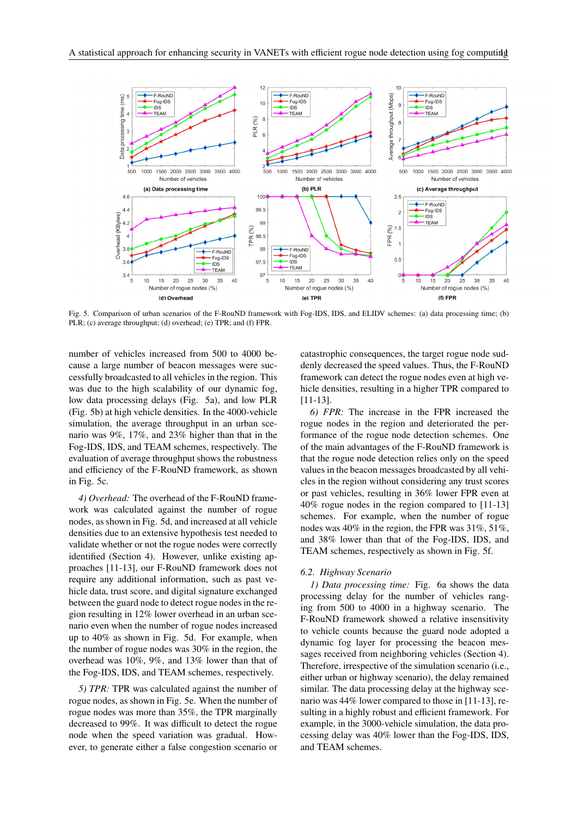

Fig. 5. Comparison of urban scenarios of the F-RouND framework with Fog-IDS, IDS, and ELIDV schemes: (a) data processing time; (b) PLR; (c) average throughput; (d) overhead; (e) TPR; and (f) FPR.

number of vehicles increased from 500 to 4000 because a large number of beacon messages were successfully broadcasted to all vehicles in the region. This was due to the high scalability of our dynamic fog, low data processing delays (Fig. 5a), and low PLR (Fig. 5b) at high vehicle densities. In the 4000-vehicle simulation, the average throughput in an urban scenario was 9%, 17%, and 23% higher than that in the Fog-IDS, IDS, and TEAM schemes, respectively. The evaluation of average throughput shows the robustness and efficiency of the F-RouND framework, as shown in Fig. 5c.

*4) Overhead:* The overhead of the F-RouND framework was calculated against the number of rogue nodes, as shown in Fig. 5d, and increased at all vehicle densities due to an extensive hypothesis test needed to validate whether or not the rogue nodes were correctly identified (Section 4). However, unlike existing approaches [11-13], our F-RouND framework does not require any additional information, such as past vehicle data, trust score, and digital signature exchanged between the guard node to detect rogue nodes in the region resulting in 12% lower overhead in an urban scenario even when the number of rogue nodes increased up to 40% as shown in Fig. 5d. For example, when the number of rogue nodes was 30% in the region, the overhead was 10%, 9%, and 13% lower than that of the Fog-IDS, IDS, and TEAM schemes, respectively.

*5) TPR:* TPR was calculated against the number of rogue nodes, as shown in Fig. 5e. When the number of rogue nodes was more than 35%, the TPR marginally decreased to 99%. It was difficult to detect the rogue node when the speed variation was gradual. However, to generate either a false congestion scenario or

catastrophic consequences, the target rogue node suddenly decreased the speed values. Thus, the F-RouND framework can detect the rogue nodes even at high vehicle densities, resulting in a higher TPR compared to [11-13].

*6) FPR:* The increase in the FPR increased the rogue nodes in the region and deteriorated the performance of the rogue node detection schemes. One of the main advantages of the F-RouND framework is that the rogue node detection relies only on the speed values in the beacon messages broadcasted by all vehicles in the region without considering any trust scores or past vehicles, resulting in 36% lower FPR even at 40% rogue nodes in the region compared to [11-13] schemes. For example, when the number of rogue nodes was 40% in the region, the FPR was 31%, 51%, and 38% lower than that of the Fog-IDS, IDS, and TEAM schemes, respectively as shown in Fig. 5f.

# *6.2. Highway Scenario*

*1) Data processing time:* Fig. 6a shows the data processing delay for the number of vehicles ranging from 500 to 4000 in a highway scenario. The F-RouND framework showed a relative insensitivity to vehicle counts because the guard node adopted a dynamic fog layer for processing the beacon messages received from neighboring vehicles (Section 4). Therefore, irrespective of the simulation scenario (i.e., either urban or highway scenario), the delay remained similar. The data processing delay at the highway scenario was 44% lower compared to those in [11-13], resulting in a highly robust and efficient framework. For example, in the 3000-vehicle simulation, the data processing delay was 40% lower than the Fog-IDS, IDS, and TEAM schemes.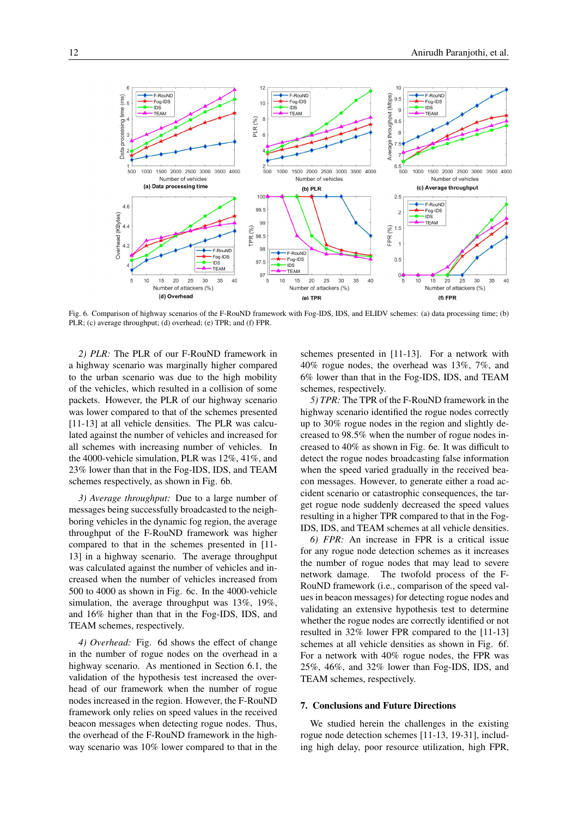

Fig. 6. Comparison of highway scenarios of the F-RouND framework with Fog-IDS, IDS, and ELIDV schemes: (a) data processing time; (b) PLR; (c) average throughput; (d) overhead; (e) TPR; and (f) FPR.

*2) PLR:* The PLR of our F-RouND framework in a highway scenario was marginally higher compared to the urban scenario was due to the high mobility of the vehicles, which resulted in a collision of some packets. However, the PLR of our highway scenario was lower compared to that of the schemes presented [11-13] at all vehicle densities. The PLR was calculated against the number of vehicles and increased for all schemes with increasing number of vehicles. In the 4000-vehicle simulation, PLR was 12%, 41%, and 23% lower than that in the Fog-IDS, IDS, and TEAM schemes respectively, as shown in Fig. 6b.

*3) Average throughput:* Due to a large number of messages being successfully broadcasted to the neighboring vehicles in the dynamic fog region, the average throughput of the F-RouND framework was higher compared to that in the schemes presented in [11- 13] in a highway scenario. The average throughput was calculated against the number of vehicles and increased when the number of vehicles increased from 500 to 4000 as shown in Fig. 6c. In the 4000-vehicle simulation, the average throughput was 13%, 19%, and 16% higher than that in the Fog-IDS, IDS, and TEAM schemes, respectively.

*4) Overhead:* Fig. 6d shows the effect of change in the number of rogue nodes on the overhead in a highway scenario. As mentioned in Section 6.1, the validation of the hypothesis test increased the overhead of our framework when the number of rogue nodes increased in the region. However, the F-RouND framework only relies on speed values in the received beacon messages when detecting rogue nodes. Thus, the overhead of the F-RouND framework in the highway scenario was 10% lower compared to that in the

schemes presented in [11-13]. For a network with 40% rogue nodes, the overhead was 13%, 7%, and 6% lower than that in the Fog-IDS, IDS, and TEAM schemes, respectively.

*5) TPR:* The TPR of the F-RouND framework in the highway scenario identified the rogue nodes correctly up to 30% rogue nodes in the region and slightly decreased to 98.5% when the number of rogue nodes increased to 40% as shown in Fig. 6e. It was difficult to detect the rogue nodes broadcasting false information when the speed varied gradually in the received beacon messages. However, to generate either a road accident scenario or catastrophic consequences, the target rogue node suddenly decreased the speed values resulting in a higher TPR compared to that in the Fog-IDS, IDS, and TEAM schemes at all vehicle densities.

*6) FPR:* An increase in FPR is a critical issue for any rogue node detection schemes as it increases the number of rogue nodes that may lead to severe network damage. The twofold process of the F-RouND framework (i.e., comparison of the speed values in beacon messages) for detecting rogue nodes and validating an extensive hypothesis test to determine whether the rogue nodes are correctly identified or not resulted in 32% lower FPR compared to the [11-13] schemes at all vehicle densities as shown in Fig. 6f. For a network with 40% rogue nodes, the FPR was 25%, 46%, and 32% lower than Fog-IDS, IDS, and TEAM schemes, respectively.

# 7. Conclusions and Future Directions

We studied herein the challenges in the existing rogue node detection schemes [11-13, 19-31], including high delay, poor resource utilization, high FPR,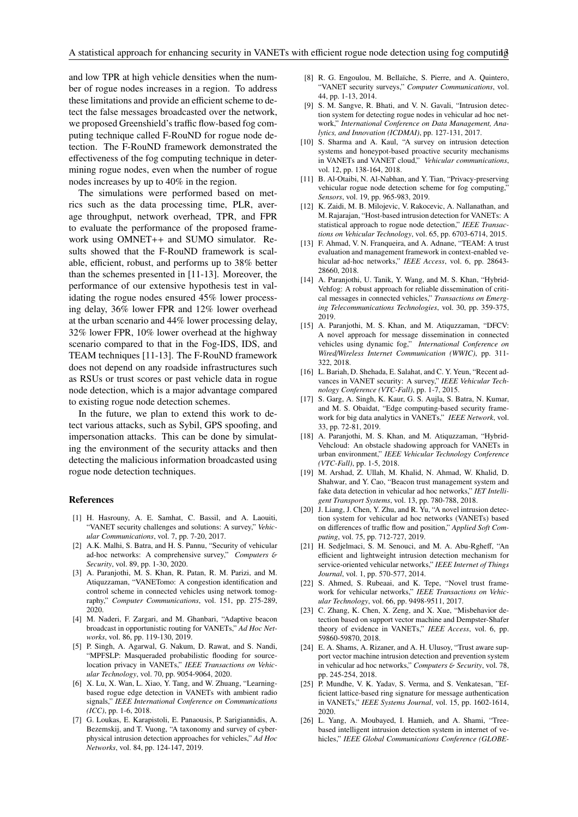and low TPR at high vehicle densities when the number of rogue nodes increases in a region. To address these limitations and provide an efficient scheme to detect the false messages broadcasted over the network, we proposed Greenshield's traffic flow-based fog computing technique called F-RouND for rogue node detection. The F-RouND framework demonstrated the effectiveness of the fog computing technique in determining rogue nodes, even when the number of rogue nodes increases by up to 40% in the region.

The simulations were performed based on metrics such as the data processing time, PLR, average throughput, network overhead, TPR, and FPR to evaluate the performance of the proposed framework using OMNET++ and SUMO simulator. Results showed that the F-RouND framework is scalable, efficient, robust, and performs up to 38% better than the schemes presented in [11-13]. Moreover, the performance of our extensive hypothesis test in validating the rogue nodes ensured 45% lower processing delay, 36% lower FPR and 12% lower overhead at the urban scenario and 44% lower processing delay, 32% lower FPR, 10% lower overhead at the highway scenario compared to that in the Fog-IDS, IDS, and TEAM techniques [11-13]. The F-RouND framework does not depend on any roadside infrastructures such as RSUs or trust scores or past vehicle data in rogue node detection, which is a major advantage compared to existing rogue node detection schemes.

In the future, we plan to extend this work to detect various attacks, such as Sybil, GPS spoofing, and impersonation attacks. This can be done by simulating the environment of the security attacks and then detecting the malicious information broadcasted using rogue node detection techniques.

#### References

- [1] H. Hasrouny, A. E. Samhat, C. Bassil, and A. Laouiti, "VANET security challenges and solutions: A survey," *Vehicular Communications*, vol. 7, pp. 7-20, 2017.
- [2] A.K. Malhi, S. Batra, and H. S. Pannu, "Security of vehicular ad-hoc networks: A comprehensive survey," *Computers* & *Security*, vol. 89, pp. 1-30, 2020.
- [3] A. Paranjothi, M. S. Khan, R. Patan, R. M. Parizi, and M. Atiquzzaman, "VANETomo: A congestion identification and control scheme in connected vehicles using network tomography," *Computer Communications*, vol. 151, pp. 275-289, 2020.
- [4] M. Naderi, F. Zargari, and M. Ghanbari, "Adaptive beacon broadcast in opportunistic routing for VANETs," *Ad Hoc Networks*, vol. 86, pp. 119-130, 2019.
- [5] P. Singh, A. Agarwal, G. Nakum, D. Rawat, and S. Nandi, "MPFSLP: Masqueraded probabilistic flooding for sourcelocation privacy in VANETs," *IEEE Transactions on Vehicular Technology*, vol. 70, pp. 9054-9064, 2020.
- [6] X. Lu, X. Wan, L. Xiao, Y. Tang, and W. Zhuang, "Learningbased rogue edge detection in VANETs with ambient radio signals," *IEEE International Conference on Communications (ICC)*, pp. 1-6, 2018.
- [7] G. Loukas, E. Karapistoli, E. Panaousis, P. Sarigiannidis, A. Bezemskij, and T. Vuong, "A taxonomy and survey of cyberphysical intrusion detection approaches for vehicles," *Ad Hoc Networks*, vol. 84, pp. 124-147, 2019.
- [8] R. G. Engoulou, M. Bellaïche, S. Pierre, and A. Quintero, "VANET security surveys," *Computer Communications*, vol. 44, pp. 1-13, 2014.
- [9] S. M. Sangve, R. Bhati, and V. N. Gavali, "Intrusion detection system for detecting rogue nodes in vehicular ad hoc network," *International Conference on Data Management, Analytics, and Innovation (ICDMAI)*, pp. 127-131, 2017.
- [10] S. Sharma and A. Kaul, "A survey on intrusion detection systems and honeypot-based proactive security mechanisms in VANETs and VANET cloud," *Vehicular communications*, vol. 12, pp. 138-164, 2018.
- [11] B. Al-Otaibi, N. Al-Nabhan, and Y. Tian, "Privacy-preserving vehicular rogue node detection scheme for fog computing," *Sensors*, vol. 19, pp. 965-983, 2019.
- [12] K. Zaidi, M. B. Milojevic, V. Rakocevic, A. Nallanathan, and M. Rajarajan, "Host-based intrusion detection for VANETs: A statistical approach to rogue node detection," *IEEE Transactions on Vehicular Technology*, vol. 65, pp. 6703-6714, 2015.
- [13] F. Ahmad, V. N. Franqueira, and A. Adnane, "TEAM: A trust evaluation and management framework in context-enabled vehicular ad-hoc networks," *IEEE Access*, vol. 6, pp. 28643- 28660, 2018.
- [14] A. Paranjothi, U. Tanik, Y. Wang, and M. S. Khan, "Hybrid-Vehfog: A robust approach for reliable dissemination of critical messages in connected vehicles," *Transactions on Emerging Telecommunications Technologies*, vol. 30, pp. 359-375, 2019.
- [15] A. Paranjothi, M. S. Khan, and M. Atiquzzaman, "DFCV: A novel approach for message dissemination in connected vehicles using dynamic fog," *International Conference on Wired*/*Wireless Internet Communication (WWIC)*, pp. 311- 322, 2018.
- [16] L. Bariah, D. Shehada, E. Salahat, and C. Y. Yeun, "Recent advances in VANET security: A survey," *IEEE Vehicular Technology Conference (VTC-Fall)*, pp. 1-7, 2015.
- [17] S. Garg, A. Singh, K. Kaur, G. S. Aujla, S. Batra, N. Kumar, and M. S. Obaidat, "Edge computing-based security framework for big data analytics in VANETs," *IEEE Network*, vol. 33, pp. 72-81, 2019.
- [18] A. Paranjothi, M. S. Khan, and M. Atiquzzaman, "Hybrid-Vehcloud: An obstacle shadowing approach for VANETs in urban environment," *IEEE Vehicular Technology Conference (VTC-Fall)*, pp. 1-5, 2018.
- [19] M. Arshad, Z. Ullah, M. Khalid, N. Ahmad, W. Khalid, D. Shahwar, and Y. Cao, "Beacon trust management system and fake data detection in vehicular ad hoc networks," *IET Intelligent Transport Systems*, vol. 13, pp. 780-788, 2018.
- [20] J. Liang, J. Chen, Y. Zhu, and R. Yu, "A novel intrusion detection system for vehicular ad hoc networks (VANETs) based on differences of traffic flow and position," *Applied Soft Computing*, vol. 75, pp. 712-727, 2019.
- [21] H. Sedjelmaci, S. M. Senouci, and M. A. Abu-Rgheff, "An efficient and lightweight intrusion detection mechanism for service-oriented vehicular networks," *IEEE Internet of Things Journal*, vol. 1, pp. 570-577, 2014.
- [22] S. Ahmed, S. Rubeaai, and K. Tepe, "Novel trust framework for vehicular networks," *IEEE Transactions on Vehicular Technology*, vol. 66, pp. 9498-9511, 2017.
- [23] C. Zhang, K. Chen, X. Zeng, and X. Xue, "Misbehavior detection based on support vector machine and Dempster-Shafer theory of evidence in VANETs," *IEEE Access*, vol. 6, pp. 59860-59870, 2018.
- [24] E. A. Shams, A. Rizaner, and A. H. Ulusoy, "Trust aware support vector machine intrusion detection and prevention system in vehicular ad hoc networks," *Computers* & *Security*, vol. 78, pp. 245-254, 2018.
- [25] P. Mundhe, V. K. Yadav, S. Verma, and S. Venkatesan, "Efficient lattice-based ring signature for message authentication in VANETs," *IEEE Systems Journal*, vol. 15, pp. 1602-1614, 2020.
- [26] L. Yang, A. Moubayed, I. Hamieh, and A. Shami, "Treebased intelligent intrusion detection system in internet of vehicles," *IEEE Global Communications Conference (GLOBE-*